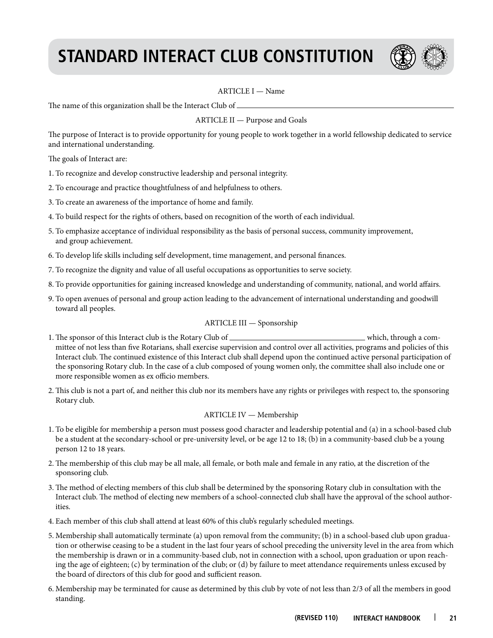# **Standard Interact Club Constitution**



# ARTICLE I — Name

The name of this organization shall be the Interact Club of \_

ARTICLE II — Purpose and Goals

The purpose of Interact is to provide opportunity for young people to work together in a world fellowship dedicated to service and international understanding.

The goals of Interact are:

- 1. To recognize and develop constructive leadership and personal integrity.
- 2. To encourage and practice thoughtfulness of and helpfulness to others.
- 3. To create an awareness of the importance of home and family.
- 4. To build respect for the rights of others, based on recognition of the worth of each individual.
- 5. To emphasize acceptance of individual responsibility as the basis of personal success, community improvement, and group achievement.
- 6. To develop life skills including self development, time management, and personal finances.
- 7. To recognize the dignity and value of all useful occupations as opportunities to serve society.
- 8. To provide opportunities for gaining increased knowledge and understanding of community, national, and world affairs.
- 9. To open avenues of personal and group action leading to the advancement of international understanding and goodwill toward all peoples.

# ARTICLE III — Sponsorship

- 1. The sponsor of this Interact club is the Rotary Club of which, through a committee of not less than five Rotarians, shall exercise supervision and control over all activities, programs and policies of this Interact club. The continued existence of this Interact club shall depend upon the continued active personal participation of the sponsoring Rotary club. In the case of a club composed of young women only, the committee shall also include one or more responsible women as ex officio members.
- 2. This club is not a part of, and neither this club nor its members have any rights or privileges with respect to, the sponsoring Rotary club.

# ARTICLE IV — Membership

- 1. To be eligible for membership a person must possess good character and leadership potential and (a) in a school-based club be a student at the secondary-school or pre-university level, or be age 12 to 18; (b) in a community-based club be a young person 12 to 18 years.
- 2. The membership of this club may be all male, all female, or both male and female in any ratio, at the discretion of the sponsoring club.
- 3. The method of electing members of this club shall be determined by the sponsoring Rotary club in consultation with the Interact club. The method of electing new members of a school-connected club shall have the approval of the school authorities.
- 4. Each member of this club shall attend at least 60% of this club's regularly scheduled meetings.
- 5. Membership shall automatically terminate (a) upon removal from the community; (b) in a school-based club upon graduation or otherwise ceasing to be a student in the last four years of school preceding the university level in the area from which the membership is drawn or in a community-based club, not in connection with a school, upon graduation or upon reaching the age of eighteen; (c) by termination of the club; or (d) by failure to meet attendance requirements unless excused by the board of directors of this club for good and sufficient reason.
- 6. Membership may be terminated for cause as determined by this club by vote of not less than 2/3 of all the members in good standing.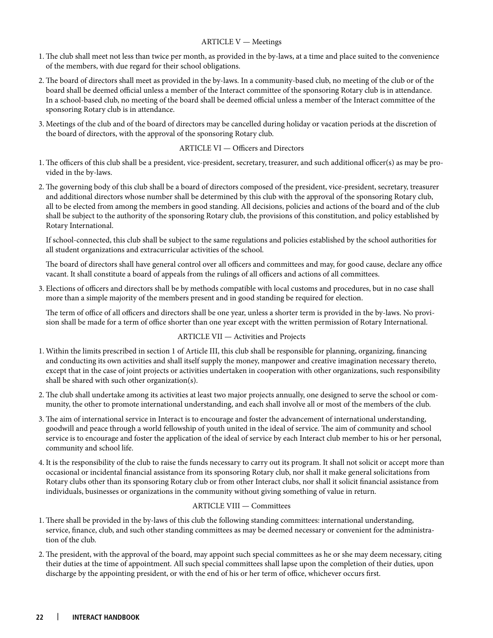# ARTICLE V — Meetings

- 1. The club shall meet not less than twice per month, as provided in the by-laws, at a time and place suited to the convenience of the members, with due regard for their school obligations.
- 2. The board of directors shall meet as provided in the by-laws. In a community-based club, no meeting of the club or of the board shall be deemed official unless a member of the Interact committee of the sponsoring Rotary club is in attendance. In a school-based club, no meeting of the board shall be deemed official unless a member of the Interact committee of the sponsoring Rotary club is in attendance.
- 3. Meetings of the club and of the board of directors may be cancelled during holiday or vacation periods at the discretion of the board of directors, with the approval of the sponsoring Rotary club.

# ARTICLE VI — Officers and Directors

- 1. The officers of this club shall be a president, vice-president, secretary, treasurer, and such additional officer(s) as may be provided in the by-laws.
- 2. The governing body of this club shall be a board of directors composed of the president, vice-president, secretary, treasurer and additional directors whose number shall be determined by this club with the approval of the sponsoring Rotary club, all to be elected from among the members in good standing. All decisions, policies and actions of the board and of the club shall be subject to the authority of the sponsoring Rotary club, the provisions of this constitution, and policy established by Rotary International.

 If school-connected, this club shall be subject to the same regulations and policies established by the school authorities for all student organizations and extracurricular activities of the school.

 The board of directors shall have general control over all officers and committees and may, for good cause, declare any office vacant. It shall constitute a board of appeals from the rulings of all officers and actions of all committees.

3. Elections of officers and directors shall be by methods compatible with local customs and procedures, but in no case shall more than a simple majority of the members present and in good standing be required for election.

 The term of office of all officers and directors shall be one year, unless a shorter term is provided in the by-laws. No provision shall be made for a term of office shorter than one year except with the written permission of Rotary International.

# ARTICLE VII — Activities and Projects

- 1. Within the limits prescribed in section 1 of Article III, this club shall be responsible for planning, organizing, financing and conducting its own activities and shall itself supply the money, manpower and creative imagination necessary thereto, except that in the case of joint projects or activities undertaken in cooperation with other organizations, such responsibility shall be shared with such other organization(s).
- 2. The club shall undertake among its activities at least two major projects annually, one designed to serve the school or community, the other to promote international understanding, and each shall involve all or most of the members of the club.
- 3. The aim of international service in Interact is to encourage and foster the advancement of international understanding, goodwill and peace through a world fellowship of youth united in the ideal of service. The aim of community and school service is to encourage and foster the application of the ideal of service by each Interact club member to his or her personal, community and school life.
- 4. It is the responsibility of the club to raise the funds necessary to carry out its program. It shall not solicit or accept more than occasional or incidental financial assistance from its sponsoring Rotary club, nor shall it make general solicitations from Rotary clubs other than its sponsoring Rotary club or from other Interact clubs, nor shall it solicit financial assistance from individuals, businesses or organizations in the community without giving something of value in return.

# ARTICLE VIII — Committees

- 1. There shall be provided in the by-laws of this club the following standing committees: international understanding, service, finance, club, and such other standing committees as may be deemed necessary or convenient for the administration of the club.
- 2. The president, with the approval of the board, may appoint such special committees as he or she may deem necessary, citing their duties at the time of appointment. All such special committees shall lapse upon the completion of their duties, upon discharge by the appointing president, or with the end of his or her term of office, whichever occurs first.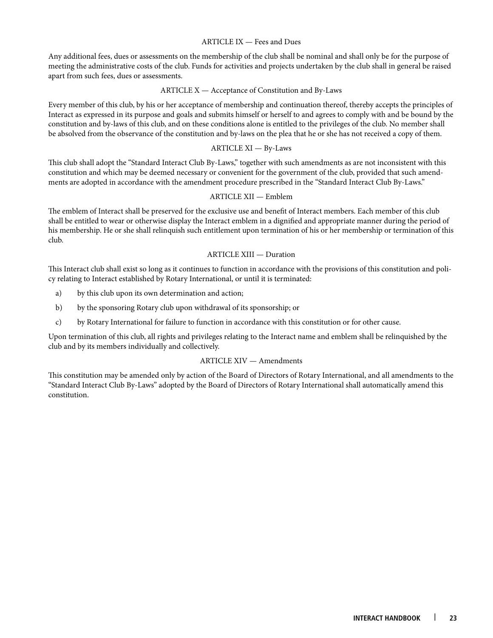## ARTICLE IX — Fees and Dues

Any additional fees, dues or assessments on the membership of the club shall be nominal and shall only be for the purpose of meeting the administrative costs of the club. Funds for activities and projects undertaken by the club shall in general be raised apart from such fees, dues or assessments.

#### ARTICLE X — Acceptance of Constitution and By-Laws

Every member of this club, by his or her acceptance of membership and continuation thereof, thereby accepts the principles of Interact as expressed in its purpose and goals and submits himself or herself to and agrees to comply with and be bound by the constitution and by-laws of this club, and on these conditions alone is entitled to the privileges of the club. No member shall be absolved from the observance of the constitution and by-laws on the plea that he or she has not received a copy of them.

#### ARTICLE XI — By-Laws

This club shall adopt the "Standard Interact Club By-Laws," together with such amendments as are not inconsistent with this constitution and which may be deemed necessary or convenient for the government of the club, provided that such amendments are adopted in accordance with the amendment procedure prescribed in the "Standard Interact Club By-Laws."

#### ARTICLE XII — Emblem

The emblem of Interact shall be preserved for the exclusive use and benefit of Interact members. Each member of this club shall be entitled to wear or otherwise display the Interact emblem in a dignified and appropriate manner during the period of his membership. He or she shall relinquish such entitlement upon termination of his or her membership or termination of this club.

#### ARTICLE XIII — Duration

This Interact club shall exist so long as it continues to function in accordance with the provisions of this constitution and policy relating to Interact established by Rotary International, or until it is terminated:

- a) by this club upon its own determination and action;
- b) by the sponsoring Rotary club upon withdrawal of its sponsorship; or
- c) by Rotary International for failure to function in accordance with this constitution or for other cause.

Upon termination of this club, all rights and privileges relating to the Interact name and emblem shall be relinquished by the club and by its members individually and collectively.

# ARTICLE XIV — Amendments

This constitution may be amended only by action of the Board of Directors of Rotary International, and all amendments to the "Standard Interact Club By-Laws" adopted by the Board of Directors of Rotary International shall automatically amend this constitution.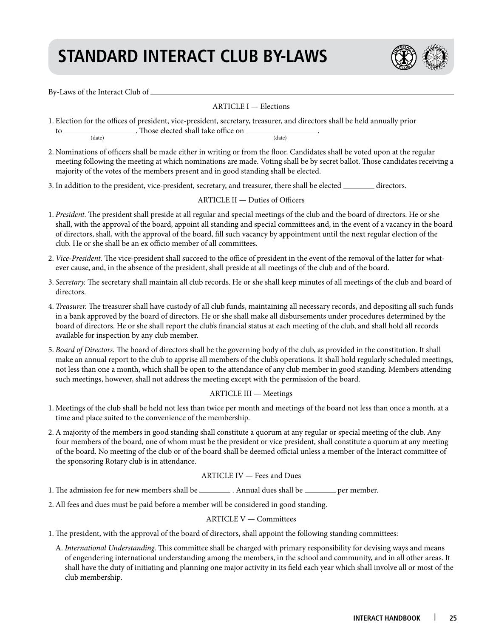# **Standard Interact Club By-Laws**



By-Laws of the Interact Club of

# ARTICLE I — Elections

1. Election for the offices of president, vice-president, secretary, treasurer, and directors shall be held annually prior to  $\frac{1}{(date)}$ . Those elected shall take office on  $\frac{1}{(date)}$ 

(date) (date)

- 2. Nominations of officers shall be made either in writing or from the floor. Candidates shall be voted upon at the regular meeting following the meeting at which nominations are made. Voting shall be by secret ballot. Those candidates receiving a majority of the votes of the members present and in good standing shall be elected.
- 3. In addition to the president, vice-president, secretary, and treasurer, there shall be elected \_\_\_\_\_\_\_\_ directors.

# ARTICLE II — Duties of Officers

- 1. *President.* The president shall preside at all regular and special meetings of the club and the board of directors. He or she shall, with the approval of the board, appoint all standing and special committees and, in the event of a vacancy in the board of directors, shall, with the approval of the board, fill such vacancy by appointment until the next regular election of the club. He or she shall be an ex officio member of all committees.
- 2. *Vice-President.* The vice-president shall succeed to the office of president in the event of the removal of the latter for whatever cause, and, in the absence of the president, shall preside at all meetings of the club and of the board.
- 3. *Secretary.* The secretary shall maintain all club records. He or she shall keep minutes of all meetings of the club and board of directors.
- 4. *Treasurer.* The treasurer shall have custody of all club funds, maintaining all necessary records, and depositing all such funds in a bank approved by the board of directors. He or she shall make all disbursements under procedures determined by the board of directors. He or she shall report the club's financial status at each meeting of the club, and shall hold all records available for inspection by any club member.
- 5. *Board of Directors.* The board of directors shall be the governing body of the club, as provided in the constitution. It shall make an annual report to the club to apprise all members of the club's operations. It shall hold regularly scheduled meetings, not less than one a month, which shall be open to the attendance of any club member in good standing. Members attending such meetings, however, shall not address the meeting except with the permission of the board.

# ARTICLE III — Meetings

- 1. Meetings of the club shall be held not less than twice per month and meetings of the board not less than once a month, at a time and place suited to the convenience of the membership.
- 2. A majority of the members in good standing shall constitute a quorum at any regular or special meeting of the club. Any four members of the board, one of whom must be the president or vice president, shall constitute a quorum at any meeting of the board. No meeting of the club or of the board shall be deemed official unless a member of the Interact committee of the sponsoring Rotary club is in attendance.

# ARTICLE IV — Fees and Dues

- 1. The admission fee for new members shall be \_\_\_\_\_\_\_\_\_\_. Annual dues shall be \_\_\_\_\_\_\_\_\_\_ per member.
- 2. All fees and dues must be paid before a member will be considered in good standing.

# ARTICLE V — Committees

- 1. The president, with the approval of the board of directors, shall appoint the following standing committees:
	- A. *International Understanding.* This committee shall be charged with primary responsibility for devising ways and means of engendering international understanding among the members, in the school and community, and in all other areas. It shall have the duty of initiating and planning one major activity in its field each year which shall involve all or most of the club membership.